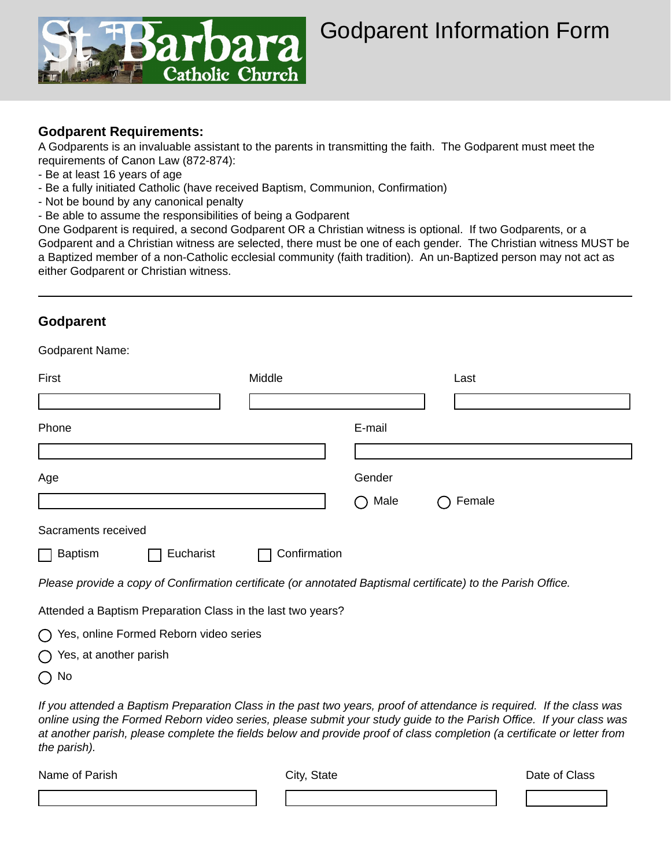

## Godparent Information Form

## **Godparent Requirements:**

A Godparents is an invaluable assistant to the parents in transmitting the faith. The Godparent must meet the requirements of Canon Law (872-874):

- Be at least 16 years of age
- Be a fully initiated Catholic (have received Baptism, Communion, Confirmation)
- Not be bound by any canonical penalty
- Be able to assume the responsibilities of being a Godparent

One Godparent is required, a second Godparent OR a Christian witness is optional. If two Godparents, or a Godparent and a Christian witness are selected, there must be one of each gender. The Christian witness MUST be a Baptized member of a non-Catholic ecclesial community (faith tradition). An un-Baptized person may not act as either Godparent or Christian witness.

## **Godparent**

Godparent Name:

| OUUPUI UI II I IUI IIU.                                                                                      |              |        |        |  |
|--------------------------------------------------------------------------------------------------------------|--------------|--------|--------|--|
| First                                                                                                        | Middle       |        | Last   |  |
|                                                                                                              |              |        |        |  |
| Phone                                                                                                        |              | E-mail |        |  |
|                                                                                                              |              |        |        |  |
| Age                                                                                                          |              | Gender |        |  |
|                                                                                                              |              | Male   | Female |  |
| Sacraments received                                                                                          |              |        |        |  |
| Eucharist<br><b>Baptism</b>                                                                                  | Confirmation |        |        |  |
| Please provide a copy of Confirmation certificate (or annotated Baptismal certificate) to the Parish Office. |              |        |        |  |
| Attended a Baptism Preparation Class in the last two years?                                                  |              |        |        |  |
| O Voc opling Formed Poborn video corios                                                                      |              |        |        |  |

Yes, online Formed Reborn video series

|  |  | $\bigcirc$ Yes, at another parish |  |
|--|--|-----------------------------------|--|
|--|--|-----------------------------------|--|

 $\bigcap$  No

*If you attended a Baptism Preparation Class in the past two years, proof of attendance is required. If the class was online using the Formed Reborn video series, please submit your study guide to the Parish Office. If your class was at another parish, please complete the fields below and provide proof of class completion (a certificate or letter from the parish).*

Name of Parish Class (North City, State Name of Parish Date of Class